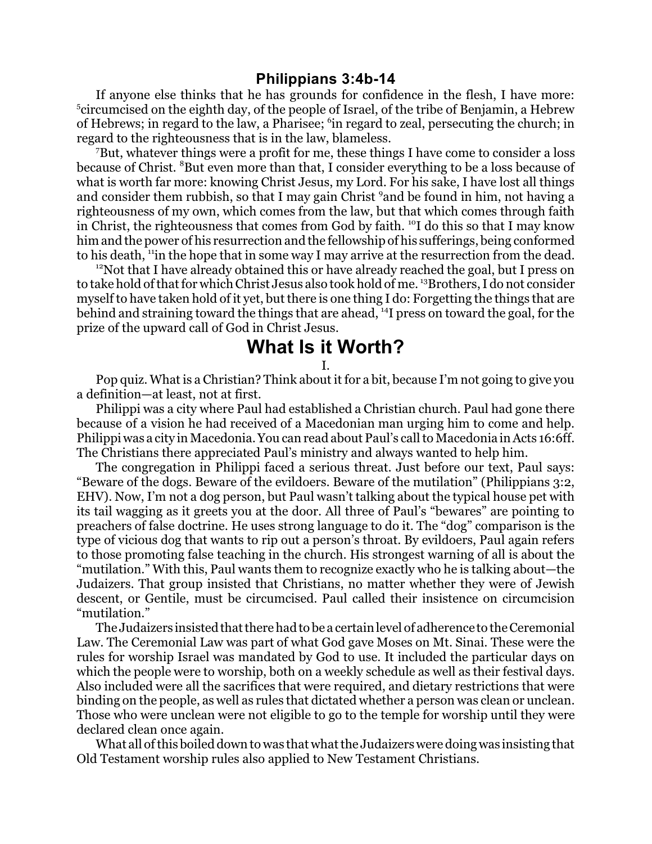## **Philippians 3:4b-14**

If anyone else thinks that he has grounds for confidence in the flesh, I have more: <sup>5</sup>circumcised on the eighth day, of the people of Israel, of the tribe of Benjamin, a Hebrew of Hebrews; in regard to the law, a Pharisee; <sup>6</sup>in regard to zeal, persecuting the church; in regard to the righteousness that is in the law, blameless.

<sup>7</sup>But, whatever things were a profit for me, these things I have come to consider a loss because of Christ. <sup>8</sup>But even more than that, I consider everything to be a loss because of what is worth far more: knowing Christ Jesus, my Lord. For his sake, I have lost all things and consider them rubbish, so that I may gain Christ <sup>9</sup>and be found in him, not having a righteousness of my own, which comes from the law, but that which comes through faith in Christ, the righteousness that comes from God by faith. <sup>10</sup>I do this so that I may know him and the power of his resurrection and the fellowship of his sufferings, being conformed to his death, "in the hope that in some way I may arrive at the resurrection from the dead.

 $12$ Not that I have already obtained this or have already reached the goal, but I press on to take hold of that for which Christ Jesus also took hold of me. <sup>13</sup>Brothers, I do not consider myself to have taken hold of it yet, but there is one thing I do: Forgetting the things that are behind and straining toward the things that are ahead, <sup>14</sup>I press on toward the goal, for the prize of the upward call of God in Christ Jesus.

## **What Is it Worth?**

I.

Pop quiz. What is a Christian? Think about it for a bit, because I'm not going to give you a definition—at least, not at first.

Philippi was a city where Paul had established a Christian church. Paul had gone there because of a vision he had received of a Macedonian man urging him to come and help. Philippi was a city in Macedonia. You can read about Paul's call to Macedonia in Acts 16:6ff. The Christians there appreciated Paul's ministry and always wanted to help him.

The congregation in Philippi faced a serious threat. Just before our text, Paul says: "Beware of the dogs. Beware of the evildoers. Beware of the mutilation" (Philippians 3:2, EHV). Now, I'm not a dog person, but Paul wasn't talking about the typical house pet with its tail wagging as it greets you at the door. All three of Paul's "bewares" are pointing to preachers of false doctrine. He uses strong language to do it. The "dog" comparison is the type of vicious dog that wants to rip out a person's throat. By evildoers, Paul again refers to those promoting false teaching in the church. His strongest warning of all is about the "mutilation." With this, Paul wants them to recognize exactly who he is talking about—the Judaizers. That group insisted that Christians, no matter whether they were of Jewish descent, or Gentile, must be circumcised. Paul called their insistence on circumcision "mutilation."

The Judaizers insisted that there had to be a certain level of adherence to the Ceremonial Law. The Ceremonial Law was part of what God gave Moses on Mt. Sinai. These were the rules for worship Israel was mandated by God to use. It included the particular days on which the people were to worship, both on a weekly schedule as well as their festival days. Also included were all the sacrifices that were required, and dietary restrictions that were binding on the people, as well as rules that dictated whether a person was clean or unclean. Those who were unclean were not eligible to go to the temple for worship until they were declared clean once again.

What all of this boiled down to was that what the Judaizers were doing was insisting that Old Testament worship rules also applied to New Testament Christians.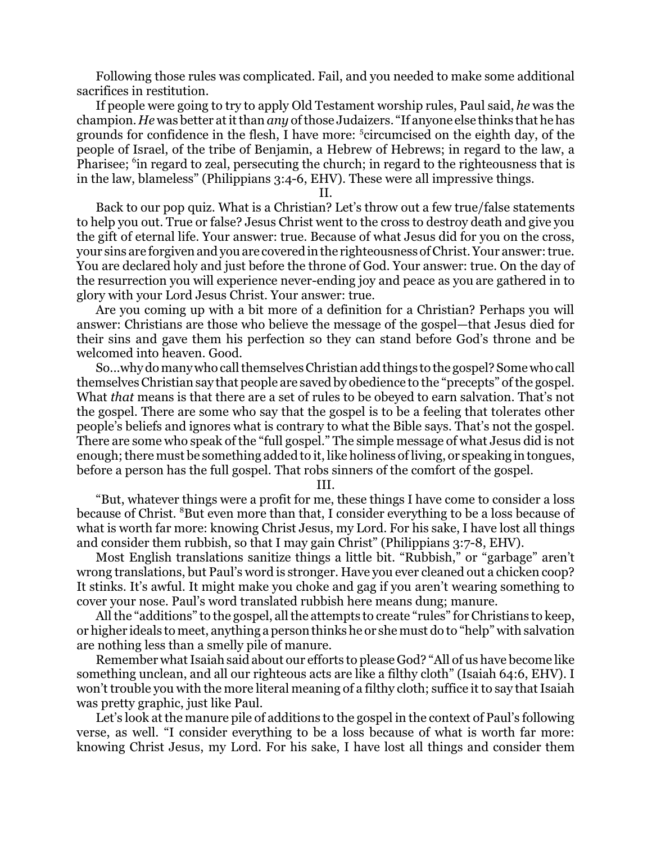Following those rules was complicated. Fail, and you needed to make some additional sacrifices in restitution.

If people were going to try to apply Old Testament worship rules, Paul said, *he* was the champion. *He* was better at it than *any* of those Judaizers. "If anyone else thinks that he has grounds for confidence in the flesh, I have more: <sup>5</sup> circumcised on the eighth day, of the people of Israel, of the tribe of Benjamin, a Hebrew of Hebrews; in regard to the law, a Pharisee; <sup>6</sup>in regard to zeal, persecuting the church; in regard to the righteousness that is in the law, blameless" (Philippians 3:4-6, EHV). These were all impressive things.

II.

Back to our pop quiz. What is a Christian? Let's throw out a few true/false statements to help you out. True or false? Jesus Christ went to the cross to destroy death and give you the gift of eternal life. Your answer: true. Because of what Jesus did for you on the cross, your sins are forgiven and you are covered in the righteousness ofChrist. Your answer: true. You are declared holy and just before the throne of God. Your answer: true. On the day of the resurrection you will experience never-ending joy and peace as you are gathered in to glory with your Lord Jesus Christ. Your answer: true.

Are you coming up with a bit more of a definition for a Christian? Perhaps you will answer: Christians are those who believe the message of the gospel—that Jesus died for their sins and gave them his perfection so they can stand before God's throne and be welcomed into heaven. Good.

So...why do many who call themselves Christian add things to the gospel? Some who call themselves Christian say that people are saved by obedience to the "precepts" of the gospel. What *that* means is that there are a set of rules to be obeyed to earn salvation. That's not the gospel. There are some who say that the gospel is to be a feeling that tolerates other people's beliefs and ignores what is contrary to what the Bible says. That's not the gospel. There are some who speak of the "full gospel." The simple message of what Jesus did is not enough; there must be something added to it, like holiness of living, or speaking in tongues, before a person has the full gospel. That robs sinners of the comfort of the gospel.

III.

"But, whatever things were a profit for me, these things I have come to consider a loss because of Christ. <sup>8</sup>But even more than that, I consider everything to be a loss because of what is worth far more: knowing Christ Jesus, my Lord. For his sake, I have lost all things and consider them rubbish, so that I may gain Christ" (Philippians 3:7-8, EHV).

Most English translations sanitize things a little bit. "Rubbish," or "garbage" aren't wrong translations, but Paul's word is stronger. Have you ever cleaned out a chicken coop? It stinks. It's awful. It might make you choke and gag if you aren't wearing something to cover your nose. Paul's word translated rubbish here means dung; manure.

All the "additions" to the gospel, all the attempts to create "rules" for Christians to keep, or higher ideals to meet, anything a person thinks he or she must do to "help" with salvation are nothing less than a smelly pile of manure.

Remember what Isaiah said about our efforts to please God? "All of us have become like something unclean, and all our righteous acts are like a filthy cloth" (Isaiah 64:6, EHV). I won't trouble you with the more literal meaning of a filthy cloth; suffice it to say that Isaiah was pretty graphic, just like Paul.

Let's look at the manure pile of additions to the gospel in the context of Paul's following verse, as well. "I consider everything to be a loss because of what is worth far more: knowing Christ Jesus, my Lord. For his sake, I have lost all things and consider them